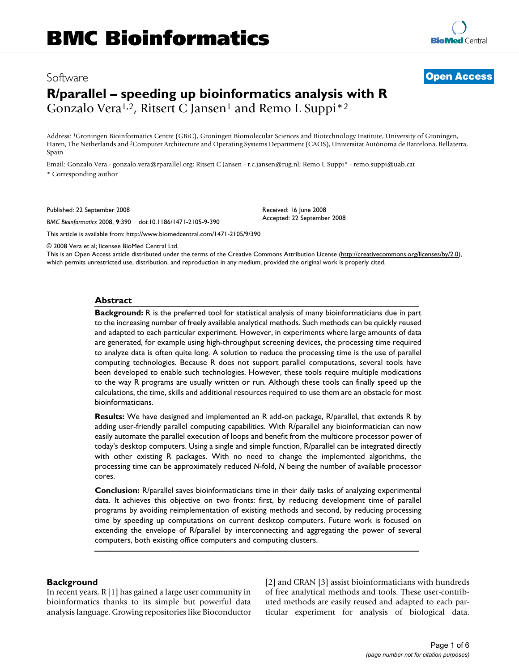# Software **[Open Access](http://www.biomedcentral.com/info/about/charter/) R/parallel – speeding up bioinformatics analysis with R** Gonzalo Vera<sup>1,2</sup>, Ritsert C Jansen<sup>1</sup> and Remo L Suppi<sup>\*2</sup>

Address: 1Groningen Bioinformatics Centre (GBiC), Groningen Biomolecular Sciences and Biotechnology Institute, University of Groningen, Haren, The Netherlands and 2Computer Architecture and Operating Systems Department (CAOS), Universitat Autònoma de Barcelona, Bellaterra, Spain

Email: Gonzalo Vera - gonzalo.vera@rparallel.org; Ritsert C Jansen - r.c.jansen@rug.nl; Remo L Suppi\* - remo.suppi@uab.cat \* Corresponding author

Published: 22 September 2008

Received: 16 June 2008 Accepted: 22 September 2008

[This article is available from: http://www.biomedcentral.com/1471-2105/9/390](http://www.biomedcentral.com/1471-2105/9/390)

*BMC Bioinformatics* 2008, **9**:390 doi:10.1186/1471-2105-9-390

© 2008 Vera et al; licensee BioMed Central Ltd.

This is an Open Access article distributed under the terms of the Creative Commons Attribution License [\(http://creativecommons.org/licenses/by/2.0\)](http://creativecommons.org/licenses/by/2.0), which permits unrestricted use, distribution, and reproduction in any medium, provided the original work is properly cited.

#### **Abstract**

**Background:** R is the preferred tool for statistical analysis of many bioinformaticians due in part to the increasing number of freely available analytical methods. Such methods can be quickly reused and adapted to each particular experiment. However, in experiments where large amounts of data are generated, for example using high-throughput screening devices, the processing time required to analyze data is often quite long. A solution to reduce the processing time is the use of parallel computing technologies. Because R does not support parallel computations, several tools have been developed to enable such technologies. However, these tools require multiple modications to the way R programs are usually written or run. Although these tools can finally speed up the calculations, the time, skills and additional resources required to use them are an obstacle for most bioinformaticians.

**Results:** We have designed and implemented an R add-on package, R/parallel, that extends R by adding user-friendly parallel computing capabilities. With R/parallel any bioinformatician can now easily automate the parallel execution of loops and benefit from the multicore processor power of today's desktop computers. Using a single and simple function, R/parallel can be integrated directly with other existing R packages. With no need to change the implemented algorithms, the processing time can be approximately reduced *N*-fold, *N* being the number of available processor cores.

**Conclusion:** R/parallel saves bioinformaticians time in their daily tasks of analyzing experimental data. It achieves this objective on two fronts: first, by reducing development time of parallel programs by avoiding reimplementation of existing methods and second, by reducing processing time by speeding up computations on current desktop computers. Future work is focused on extending the envelope of R/parallel by interconnecting and aggregating the power of several computers, both existing office computers and computing clusters.

# **Background**

In recent years, R [1] has gained a large user community in bioinformatics thanks to its simple but powerful data analysis language. Growing repositories like Bioconductor [2] and CRAN [3] assist bioinformaticians with hundreds of free analytical methods and tools. These user-contributed methods are easily reused and adapted to each particular experiment for analysis of biological data.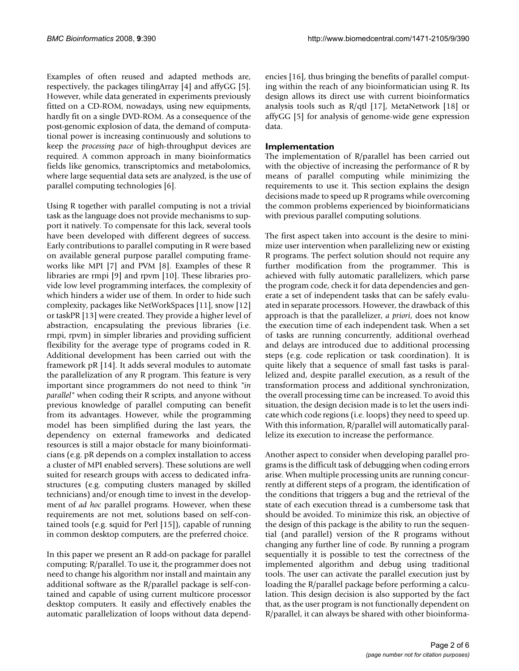Examples of often reused and adapted methods are, respectively, the packages tilingArray [4] and affyGG [5]. However, while data generated in experiments previously fitted on a CD-ROM, nowadays, using new equipments, hardly fit on a single DVD-ROM. As a consequence of the post-genomic explosion of data, the demand of computational power is increasing continuously and solutions to keep the *processing pace* of high-throughput devices are required. A common approach in many bioinformatics fields like genomics, transcriptomics and metabolomics, where large sequential data sets are analyzed, is the use of parallel computing technologies [6].

Using R together with parallel computing is not a trivial task as the language does not provide mechanisms to support it natively. To compensate for this lack, several tools have been developed with different degrees of success. Early contributions to parallel computing in R were based on available general purpose parallel computing frameworks like MPI [7] and PVM [8]. Examples of these R libraries are rmpi [9] and rpvm [10]. These libraries provide low level programming interfaces, the complexity of which hinders a wider use of them. In order to hide such complexity, packages like NetWorkSpaces [11], snow [12] or taskPR [13] were created. They provide a higher level of abstraction, encapsulating the previous libraries (i.e. rmpi, rpvm) in simpler libraries and providing sufficient flexibility for the average type of programs coded in R. Additional development has been carried out with the framework pR [14]. It adds several modules to automate the parallelization of any R program. This feature is very important since programmers do not need to think *"in parallel"* when coding their R scripts, and anyone without previous knowledge of parallel computing can benefit from its advantages. However, while the programming model has been simplified during the last years, the dependency on external frameworks and dedicated resources is still a major obstacle for many bioinformaticians (e.g. pR depends on a complex installation to access a cluster of MPI enabled servers). These solutions are well suited for research groups with access to dedicated infrastructures (e.g. computing clusters managed by skilled technicians) and/or enough time to invest in the development of *ad hoc* parallel programs. However, when these requirements are not met, solutions based on self-contained tools (e.g. squid for Perl [15]), capable of running in common desktop computers, are the preferred choice.

In this paper we present an R add-on package for parallel computing: R/parallel. To use it, the programmer does not need to change his algorithm nor install and maintain any additional software as the R/parallel package is self-contained and capable of using current multicore processor desktop computers. It easily and effectively enables the automatic parallelization of loops without data dependencies [16], thus bringing the benefits of parallel computing within the reach of any bioinformatician using R. Its design allows its direct use with current bioinformatics analysis tools such as R/qtl [17], MetaNetwork [18] or affyGG [5] for analysis of genome-wide gene expression data.

# **Implementation**

The implementation of R/parallel has been carried out with the objective of increasing the performance of R by means of parallel computing while minimizing the requirements to use it. This section explains the design decisions made to speed up R programs while overcoming the common problems experienced by bioinformaticians with previous parallel computing solutions.

The first aspect taken into account is the desire to minimize user intervention when parallelizing new or existing R programs. The perfect solution should not require any further modification from the programmer. This is achieved with fully automatic parallelizers, which parse the program code, check it for data dependencies and generate a set of independent tasks that can be safely evaluated in separate processors. However, the drawback of this approach is that the parallelizer, *a priori*, does not know the execution time of each independent task. When a set of tasks are running concurrently, additional overhead and delays are introduced due to additional processing steps (e.g. code replication or task coordination). It is quite likely that a sequence of small fast tasks is parallelized and, despite parallel execution, as a result of the transformation process and additional synchronization, the overall processing time can be increased. To avoid this situation, the design decision made is to let the users indicate which code regions (i.e. loops) they need to speed up. With this information, R/parallel will automatically parallelize its execution to increase the performance.

Another aspect to consider when developing parallel programs is the difficult task of debugging when coding errors arise. When multiple processing units are running concurrently at different steps of a program, the identification of the conditions that triggers a bug and the retrieval of the state of each execution thread is a cumbersome task that should be avoided. To minimize this risk, an objective of the design of this package is the ability to run the sequential (and parallel) version of the R programs without changing any further line of code. By running a program sequentially it is possible to test the correctness of the implemented algorithm and debug using traditional tools. The user can activate the parallel execution just by loading the R/parallel package before performing a calculation. This design decision is also supported by the fact that, as the user program is not functionally dependent on R/parallel, it can always be shared with other bioinforma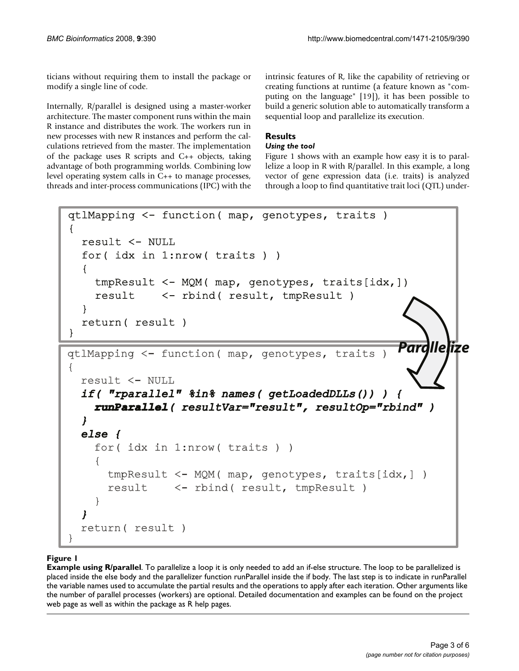ticians without requiring them to install the package or modify a single line of code.

Internally, R/parallel is designed using a master-worker architecture. The master component runs within the main R instance and distributes the work. The workers run in new processes with new R instances and perform the calculations retrieved from the master. The implementation of the package uses R scripts and C++ objects, taking advantage of both programming worlds. Combining low level operating system calls in C++ to manage processes, threads and inter-process communications (IPC) with the intrinsic features of R, like the capability of retrieving or creating functions at runtime (a feature known as "computing on the language" [19]), it has been possible to build a generic solution able to automatically transform a sequential loop and parallelize its execution.

# **Results**

#### *Using the tool*

Figure 1 shows with an example how easy it is to parallelize a loop in R with R/parallel. In this example, a long vector of gene expression data (i.e. traits) is analyzed through a loop to find quantitative trait loci (QTL) under-

```
qtlMapping <- function(map, genotypes, traits)
\left\{ \right.result <- NULL
  for(idx in 1: nrow( traits))
  \left\{ \right.tmpResult <- MQM( map, genotypes, traits[idx,])
                <- rbind( result, tmpResult)
    result
  \mathbf{R}return ( result )
\mathcal{F}ParallelizeqtlMapping <- function(map, genotypes, traits)
\left\{ \right.result <- NULL
  if( "rparallel" %in% names( getLoadedDLLs()) ) {
    runParallel (resultVar="result", resultOp="rbind")
  \lambdaelse {
    for(idx in 1:nrow(traits))
       tmpResult <- MQM( map, genotypes, traits[idx,] )
              <- rbind( result, tmpResult)
       result
    \}\boldsymbol{\iota}return ( result )
```
# **Figure 1**

**Example using R/parallel**. To parallelize a loop it is only needed to add an if-else structure. The loop to be parallelized is placed inside the else body and the parallelizer function runParallel inside the if body. The last step is to indicate in runParallel the variable names used to accumulate the partial results and the operations to apply after each iteration. Other arguments like the number of parallel processes (workers) are optional. Detailed documentation and examples can be found on the project web page as well as within the package as R help pages.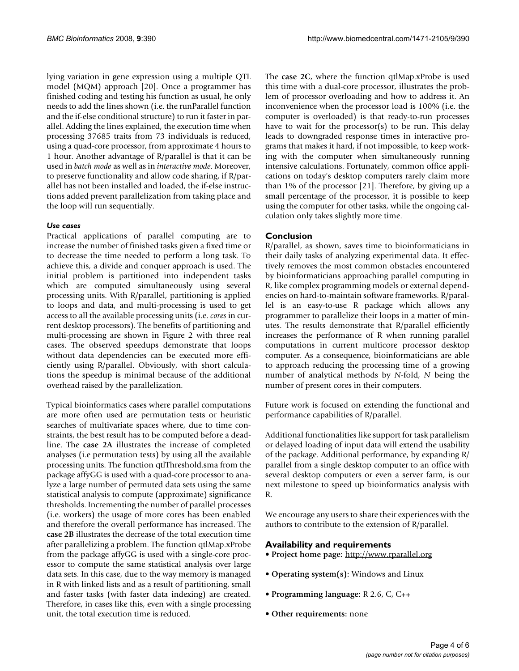lying variation in gene expression using a multiple QTL model (MQM) approach [20]. Once a programmer has finished coding and testing his function as usual, he only needs to add the lines shown (i.e. the runParallel function and the if-else conditional structure) to run it faster in parallel. Adding the lines explained, the execution time when processing 37685 traits from 73 individuals is reduced, using a quad-core processor, from approximate 4 hours to 1 hour. Another advantage of R/parallel is that it can be used in *batch mode* as well as in *interactive mode*. Moreover, to preserve functionality and allow code sharing, if R/parallel has not been installed and loaded, the if-else instructions added prevent parallelization from taking place and the loop will run sequentially.

# *Use cases*

Practical applications of parallel computing are to increase the number of finished tasks given a fixed time or to decrease the time needed to perform a long task. To achieve this, a divide and conquer approach is used. The initial problem is partitioned into independent tasks which are computed simultaneously using several processing units. With R/parallel, partitioning is applied to loops and data, and multi-processing is used to get access to all the available processing units (i.e. *cores* in current desktop processors). The benefits of partitioning and multi-processing are shown in Figure 2 with three real cases. The observed speedups demonstrate that loops without data dependencies can be executed more efficiently using R/parallel. Obviously, with short calculations the speedup is minimal because of the additional overhead raised by the parallelization.

Typical bioinformatics cases where parallel computations are more often used are permutation tests or heuristic searches of multivariate spaces where, due to time constraints, the best result has to be computed before a deadline. The **case 2A** illustrates the increase of completed analyses (i.e permutation tests) by using all the available processing units. The function qtlThreshold.sma from the package affyGG is used with a quad-core processor to analyze a large number of permuted data sets using the same statistical analysis to compute (approximate) significance thresholds. Incrementing the number of parallel processes (i.e. workers) the usage of more cores has been enabled and therefore the overall performance has increased. The **case 2B** illustrates the decrease of the total execution time after parallelizing a problem. The function qtlMap.xProbe from the package affyGG is used with a single-core processor to compute the same statistical analysis over large data sets. In this case, due to the way memory is managed in R with linked lists and as a result of partitioning, small and faster tasks (with faster data indexing) are created. Therefore, in cases like this, even with a single processing unit, the total execution time is reduced.

The **case 2C**, where the function qtlMap.xProbe is used this time with a dual-core processor, illustrates the problem of processor overloading and how to address it. An inconvenience when the processor load is 100% (i.e. the computer is overloaded) is that ready-to-run processes have to wait for the processor(s) to be run. This delay leads to downgraded response times in interactive programs that makes it hard, if not impossible, to keep working with the computer when simultaneously running intensive calculations. Fortunately, common office applications on today's desktop computers rarely claim more than 1% of the processor [21]. Therefore, by giving up a small percentage of the processor, it is possible to keep using the computer for other tasks, while the ongoing calculation only takes slightly more time.

# **Conclusion**

R/parallel, as shown, saves time to bioinformaticians in their daily tasks of analyzing experimental data. It effectively removes the most common obstacles encountered by bioinformaticians approaching parallel computing in R, like complex programming models or external dependencies on hard-to-maintain software frameworks. R/parallel is an easy-to-use R package which allows any programmer to parallelize their loops in a matter of minutes. The results demonstrate that R/parallel efficiently increases the performance of R when running parallel computations in current multicore processor desktop computer. As a consequence, bioinformaticians are able to approach reducing the processing time of a growing number of analytical methods by *N*-fold, *N* being the number of present cores in their computers.

Future work is focused on extending the functional and performance capabilities of R/parallel.

Additional functionalities like support for task parallelism or delayed loading of input data will extend the usability of the package. Additional performance, by expanding R/ parallel from a single desktop computer to an office with several desktop computers or even a server farm, is our next milestone to speed up bioinformatics analysis with R.

We encourage any users to share their experiences with the authors to contribute to the extension of R/parallel.

# **Availability and requirements**

- **Project home page:** <http://www.rparallel.org>
- **Operating system(s):** Windows and Linux
- **Programming language:** R 2.6, C, C++
- **Other requirements:** none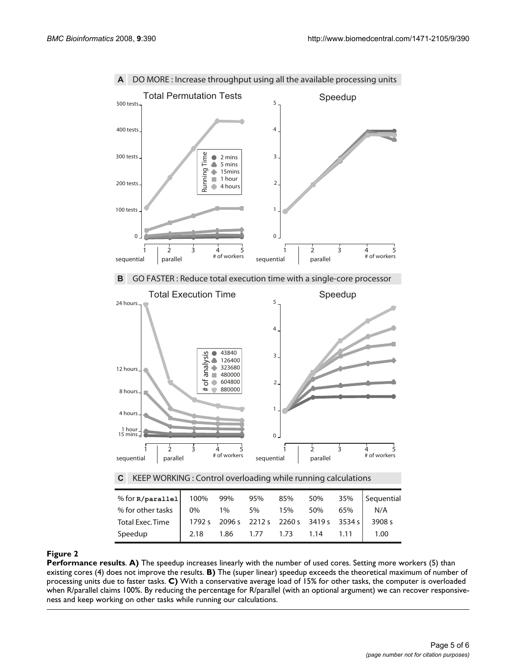

#### DO MORE : Increase throughput using all the available processing units **A**

#### **Figure 2**

**Performance results**. **A)** The speedup increases linearly with the number of used cores. Setting more workers (5) than existing cores (4) does not improve the results. **B)** The (super linear) speedup exceeds the theoretical maximum of number of processing units due to faster tasks. **C)** With a conservative average load of 15% for other tasks, the computer is overloaded when R/parallel claims 100%. By reducing the percentage for R/parallel (with an optional argument) we can recover responsiveness and keep working on other tasks while running our calculations.